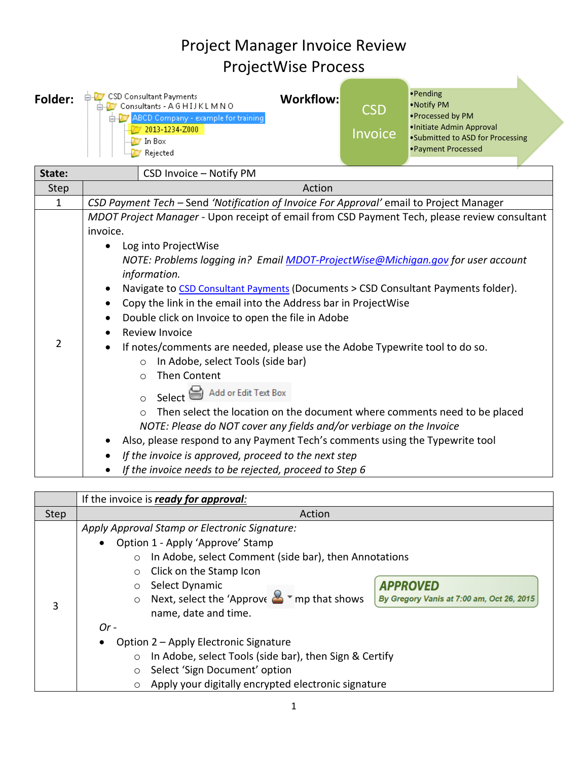## Project Manager Invoice Review ProjectWise Process

| Folder:        | <b>E-7</b> CSD Consultant Payments<br><b>Workflow:</b><br>Consultants - AGHIJKLMNO<br>ABCD Company - example for training<br>2013-1234-Z000<br>In Box<br>Rejected                                                                                                                                                                                                                                                                                                                                                                                                                                                                                                                                                                                                                                                                                                                                                                                                                                                                                                  | CSD<br><b>Invoice</b> | ·Pending<br>• Notify PM<br>·Processed by PM<br>· Initiate Admin Approval<br>•Submitted to ASD for Processing<br>• Payment Processed |  |  |  |
|----------------|--------------------------------------------------------------------------------------------------------------------------------------------------------------------------------------------------------------------------------------------------------------------------------------------------------------------------------------------------------------------------------------------------------------------------------------------------------------------------------------------------------------------------------------------------------------------------------------------------------------------------------------------------------------------------------------------------------------------------------------------------------------------------------------------------------------------------------------------------------------------------------------------------------------------------------------------------------------------------------------------------------------------------------------------------------------------|-----------------------|-------------------------------------------------------------------------------------------------------------------------------------|--|--|--|
| State:         | CSD Invoice - Notify PM                                                                                                                                                                                                                                                                                                                                                                                                                                                                                                                                                                                                                                                                                                                                                                                                                                                                                                                                                                                                                                            |                       |                                                                                                                                     |  |  |  |
| <b>Step</b>    | Action                                                                                                                                                                                                                                                                                                                                                                                                                                                                                                                                                                                                                                                                                                                                                                                                                                                                                                                                                                                                                                                             |                       |                                                                                                                                     |  |  |  |
| $\mathbf{1}$   | CSD Payment Tech - Send 'Notification of Invoice For Approval' email to Project Manager                                                                                                                                                                                                                                                                                                                                                                                                                                                                                                                                                                                                                                                                                                                                                                                                                                                                                                                                                                            |                       |                                                                                                                                     |  |  |  |
| $\overline{2}$ | MDOT Project Manager - Upon receipt of email from CSD Payment Tech, please review consultant<br>invoice.<br>Log into ProjectWise<br>$\bullet$<br>NOTE: Problems logging in? Email MDOT-ProjectWise@Michigan.gov for user account<br>information.<br>Navigate to CSD Consultant Payments (Documents > CSD Consultant Payments folder).<br>Copy the link in the email into the Address bar in ProjectWise<br>Double click on Invoice to open the file in Adobe<br>Review Invoice<br>If notes/comments are needed, please use the Adobe Typewrite tool to do so.<br>In Adobe, select Tools (side bar)<br>$\circ$<br><b>Then Content</b><br>$\bigcirc$<br>Add or Edit Text Box<br>Select<br>$\bigcap$<br>Then select the location on the document where comments need to be placed<br>$\circ$<br>NOTE: Please do NOT cover any fields and/or verbiage on the Invoice<br>Also, please respond to any Payment Tech's comments using the Typewrite tool<br>If the invoice is approved, proceed to the next step<br>If the invoice needs to be rejected, proceed to Step 6 |                       |                                                                                                                                     |  |  |  |

|             | If the invoice is ready for approval:                                                                                     |  |  |  |  |
|-------------|---------------------------------------------------------------------------------------------------------------------------|--|--|--|--|
| <b>Step</b> | Action                                                                                                                    |  |  |  |  |
|             | Apply Approval Stamp or Electronic Signature:                                                                             |  |  |  |  |
|             | Option 1 - Apply 'Approve' Stamp<br>$\bullet$                                                                             |  |  |  |  |
|             | In Adobe, select Comment (side bar), then Annotations<br>$\circ$                                                          |  |  |  |  |
| 3           | Click on the Stamp Icon<br>$\circ$                                                                                        |  |  |  |  |
|             | <b>APPROVED</b><br>Select Dynamic<br>$\circ$                                                                              |  |  |  |  |
|             | Next, select the 'Approve $\mathbf{B}$ $\mathbf{v}$ mp that shows<br>By Gregory Vanis at 7:00 am, Oct 26, 2015<br>$\circ$ |  |  |  |  |
|             | name, date and time.                                                                                                      |  |  |  |  |
|             | $Or-$                                                                                                                     |  |  |  |  |
|             | Option 2 - Apply Electronic Signature<br>٠                                                                                |  |  |  |  |
|             | In Adobe, select Tools (side bar), then Sign & Certify<br>$\circ$                                                         |  |  |  |  |
|             | Select 'Sign Document' option<br>$\circ$                                                                                  |  |  |  |  |
|             | Apply your digitally encrypted electronic signature<br>$\circ$                                                            |  |  |  |  |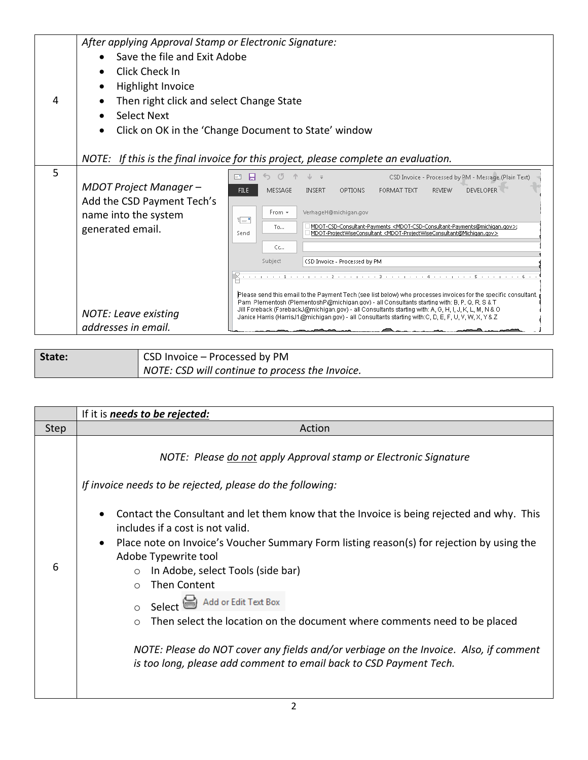| 4 | After applying Approval Stamp or Electronic Signature:<br>Save the file and Exit Adobe<br>Click Check In<br>Highlight Invoice<br>Then right click and select Change State<br><b>Select Next</b><br>Click on OK in the 'Change Document to State' window |                                                                                                                                                                                                                                                                                                                                                                                                                                                                                                                                                                                                                                                                                                                                                                                                                                                                                                                                                                                  |  |  |
|---|---------------------------------------------------------------------------------------------------------------------------------------------------------------------------------------------------------------------------------------------------------|----------------------------------------------------------------------------------------------------------------------------------------------------------------------------------------------------------------------------------------------------------------------------------------------------------------------------------------------------------------------------------------------------------------------------------------------------------------------------------------------------------------------------------------------------------------------------------------------------------------------------------------------------------------------------------------------------------------------------------------------------------------------------------------------------------------------------------------------------------------------------------------------------------------------------------------------------------------------------------|--|--|
|   |                                                                                                                                                                                                                                                         | NOTE: If this is the final invoice for this project, please complete an evaluation.                                                                                                                                                                                                                                                                                                                                                                                                                                                                                                                                                                                                                                                                                                                                                                                                                                                                                              |  |  |
| 5 | MDOT Project Manager-<br>Add the CSD Payment Tech's<br>name into the system<br>generated email.<br><b>NOTE: Leave existing</b><br>addresses in email.                                                                                                   | CSD Invoice - Processed by PM - Message (Plain Text)<br>E.<br>ы<br><b>FILE</b><br>MESSAGE<br><b>INSERT</b><br>FORMAT TEXT<br>DEVELOPER<br>OPTIONS<br><b>REVIEW</b><br>From +<br>VerhageH@michigan.gov<br>ा—"<br>MDOT-CSD-Consultant-Payments <mdot-csd-consultant-payments@michigan.gov>;<br/>To<br/>MDOT-ProjectWiseConsultant <mdot-projectwiseconsultant@michigan.gov><br/>Send<br/>Cc<br/>Subject<br/>CSD Invoice - Processed by PM<br/>Please send this email to the Payment Tech (see list below) who processes invoices for the specific consultant.<br/>Pam Plementosh (PlementoshP@michigan.gov) - all Consultants starting with: B, P, Q, R, S &amp; T<br/>Jill Foreback (ForebackJ@michigan.gov) - all Consultants starting with: A, G, H, I, J, K, L, M, N &amp; O<br/>Janice Harris (HarrisJ1@michigan.gov) - all Consultants starting with:C, D, E, F, U, V, W, X, Y &amp; Z</mdot-projectwiseconsultant@michigan.gov></mdot-csd-consultant-payments@michigan.gov> |  |  |

**State:** CSD Invoice – Processed by PM *NOTE: CSD will continue to process the Invoice.*

|      | If it is <i>needs to be rejected:</i>                                                                                                                                                                                                                                                                                                    |  |  |  |  |
|------|------------------------------------------------------------------------------------------------------------------------------------------------------------------------------------------------------------------------------------------------------------------------------------------------------------------------------------------|--|--|--|--|
| Step | Action                                                                                                                                                                                                                                                                                                                                   |  |  |  |  |
|      | NOTE: Please do not apply Approval stamp or Electronic Signature<br>If invoice needs to be rejected, please do the following:                                                                                                                                                                                                            |  |  |  |  |
| 6    | Contact the Consultant and let them know that the Invoice is being rejected and why. This<br>$\bullet$<br>includes if a cost is not valid.<br>Place note on Invoice's Voucher Summary Form listing reason(s) for rejection by using the<br>$\bullet$<br>Adobe Typewrite tool<br>In Adobe, select Tools (side bar)<br><b>Then Content</b> |  |  |  |  |
|      | $\bigcirc$<br>Select & Add or Edit Text Box<br>Then select the location on the document where comments need to be placed<br>$\bigcirc$<br>NOTE: Please do NOT cover any fields and/or verbiage on the Invoice. Also, if comment<br>is too long, please add comment to email back to CSD Payment Tech.                                    |  |  |  |  |